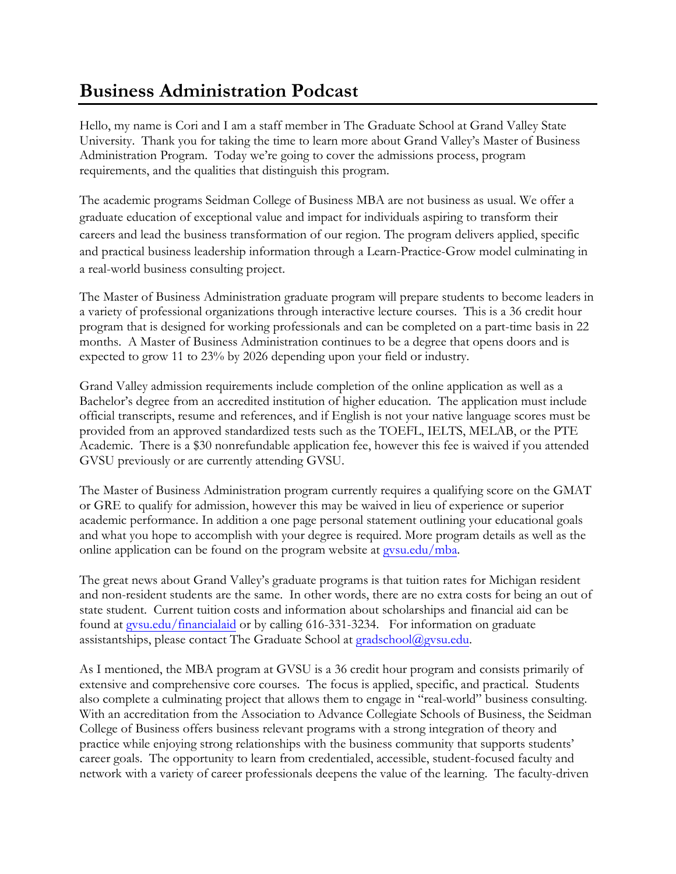## **Business Administration Podcast**

Hello, my name is Cori and I am a staff member in The Graduate School at Grand Valley State University. Thank you for taking the time to learn more about Grand Valley's Master of Business Administration Program. Today we're going to cover the admissions process, program requirements, and the qualities that distinguish this program.

The academic programs Seidman College of Business MBA are not business as usual. We offer a graduate education of exceptional value and impact for individuals aspiring to transform their careers and lead the business transformation of our region. The program delivers applied, specific and practical business leadership information through a Learn-Practice-Grow model culminating in a real-world business consulting project.

The Master of Business Administration graduate program will prepare students to become leaders in a variety of professional organizations through interactive lecture courses. This is a 36 credit hour program that is designed for working professionals and can be completed on a part-time basis in 22 months. A Master of Business Administration continues to be a degree that opens doors and is expected to grow 11 to 23% by 2026 depending upon your field or industry.

Grand Valley admission requirements include completion of the online application as well as a Bachelor's degree from an accredited institution of higher education. The application must include official transcripts, resume and references, and if English is not your native language scores must be provided from an approved standardized tests such as the TOEFL, IELTS, MELAB, or the PTE Academic. There is a \$30 nonrefundable application fee, however this fee is waived if you attended GVSU previously or are currently attending GVSU.

The Master of Business Administration program currently requires a qualifying score on the GMAT or GRE to qualify for admission, however this may be waived in lieu of experience or superior academic performance. In addition a one page personal statement outlining your educational goals and what you hope to accomplish with your degree is required. More program details as well as the online application can be found on the program website at [gvsu.edu/mba.](http://www.gvsu.edu/mba)

The great news about Grand Valley's graduate programs is that tuition rates for Michigan resident and non-resident students are the same. In other words, there are no extra costs for being an out of state student. Current tuition costs and information about scholarships and financial aid can be found at [gvsu.edu/financialaid](http://www.gvsu.edu/financialaid) or by calling 616-331-3234. For information on graduate assistantships, please contact The Graduate School at [gradschool@gvsu.edu.](mailto:gradschool@gvsu.edu)

As I mentioned, the MBA program at GVSU is a 36 credit hour program and consists primarily of extensive and comprehensive core courses. The focus is applied, specific, and practical. Students also complete a culminating project that allows them to engage in "real-world" business consulting. With an accreditation from the Association to Advance Collegiate Schools of Business, the Seidman College of Business offers business relevant programs with a strong integration of theory and practice while enjoying strong relationships with the business community that supports students' career goals. The opportunity to learn from credentialed, accessible, student-focused faculty and network with a variety of career professionals deepens the value of the learning. The faculty-driven